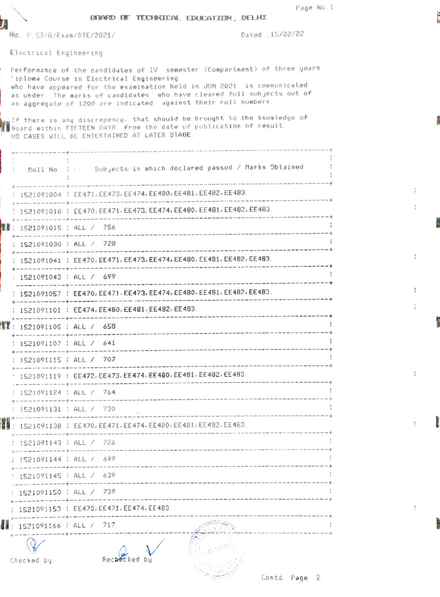$^{\dagger}_{\vec{b}}$ 

ţ

 $\frac{1}{2}$ 

ţ

 $\frac{1}{2}$ 

 $\frac{9}{1}$ 

## DERWED DE TECHNECAL EDUCATION, DELHI

No. F. 53/G/Exam/BTE/2021/ 2021/ Dated 15/02/22

Electrical Engineering

J

r,

Per fornance of the cendidates of IV senester (Compartnent) of three years iploma Course in Electrical Engineering twho have appeared for the examination held in JUN 2021 is communicated as under. The marks of candidates who have cleared full sub jects out of an aggregate of 1200 are indicated against their roll numbers.

.<br>In If there is any discrepency, that should be:brought to the knowledge of<br>Wiboard within FIFTEEN DAYS, from the date of publication of result. NO CASES UILL BE ENTERTAINED AT LATER STAGE.

|    | Roll No                | :: Subjects in which declared passed / Marks Obtained                           |
|----|------------------------|---------------------------------------------------------------------------------|
|    |                        | 1521091004   EE471, EE473, EE474, EE480, EE481, EE482, EE483.                   |
|    |                        | 1521091010   EE470, EE471, EE473, EE474, EE480, EE481, EE482, EE483.            |
| 空星 | 1521091015   ALL / 756 |                                                                                 |
|    | 1521091030   ALL / 728 |                                                                                 |
|    |                        | 1521091041   EE470, EE471, EE473, EE474, EE480, EE481, EE482, EE483.            |
|    | 1521091043   ALL / 699 |                                                                                 |
|    |                        | 1521091057   EE470, EE471, EE473, EE474, EE480, EE481, EE482, EE483.            |
|    |                        | 1521091101   EE474, EE480, EE481, EE482, EE483.                                 |
|    |                        | 1521091105   ALL / 658                                                          |
|    | 1521091107   ALL / 641 |                                                                                 |
|    | 1521091115   ALL / 707 |                                                                                 |
|    |                        | 1521091119   EE472, EE473, EE474, EE480, EE481, EE482, EE483.                   |
|    |                        | 1521091124   ALL / 764                                                          |
|    | 1521091131   ALL / 730 | and their paint near near mass of the contractor and state and contractor their |
| H  |                        | 1521091138   EE470, EE471, EE474, EE480, EE481, EE482, EE483.                   |
|    | 1521091143   ALL / 726 |                                                                                 |
|    | 1521091144   ALL / 699 |                                                                                 |
|    | 1521091145   ALL / 639 |                                                                                 |
|    | 1521091150   ALL / 739 |                                                                                 |
|    |                        | 1521091153   EE470, EE471, EE474, EE483.                                        |
| 4  | 1521091166             | ALL / 717                                                                       |
|    | Checked by             | Rechet                                                                          |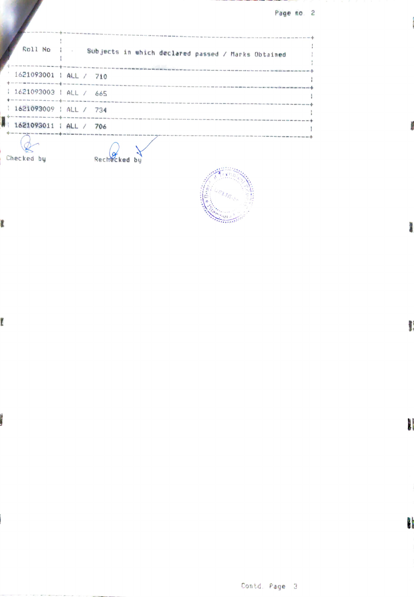Page no. 2

| Roll No   .                                                                                                                              | Who would have seen with with later laws \$240 ton. With enty work with home cape and have used your age and<br>Subjects in which declared passed / Marks Obtained |  |
|------------------------------------------------------------------------------------------------------------------------------------------|--------------------------------------------------------------------------------------------------------------------------------------------------------------------|--|
| 1621093001   ALL / 710<br>of the contract complete that there was not the contract that the complete them there are not the contract the |                                                                                                                                                                    |  |
| 1621093003   ALL / 665<br>the time come now that the contract and come that you can allow the set with time that                         |                                                                                                                                                                    |  |
| : 1621093009 : ALL / 734                                                                                                                 | THE THEF COM SAN AND HER WAY THEY HAVE SURE LESS AT THE HERE GENERAL COME 2000 AND THE WAS THE JUST HER WAY AND DRIVE WAS IMPOUNDED.                               |  |
| 1621093011   ALL / 706                                                                                                                   |                                                                                                                                                                    |  |
| Checked by                                                                                                                               | Recher                                                                                                                                                             |  |

 $\overline{\cdots}$ 

t

Ï

i.

**Control** 

 $\frac{1}{2}$